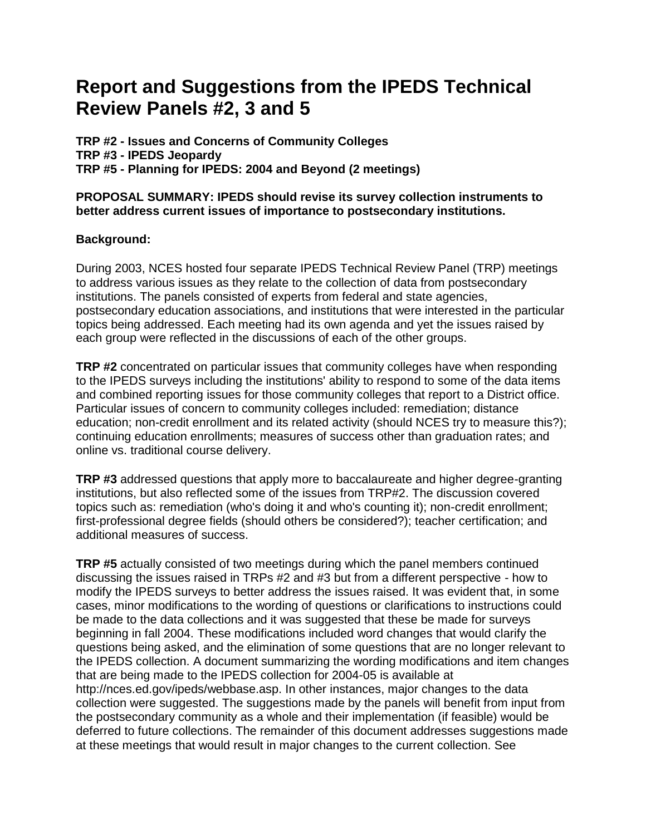# **Report and Suggestions from the IPEDS Technical Review Panels #2, 3 and 5**

**TRP #2 - Issues and Concerns of Community Colleges TRP #3 - IPEDS Jeopardy TRP #5 - Planning for IPEDS: 2004 and Beyond (2 meetings)**

### **PROPOSAL SUMMARY: IPEDS should revise its survey collection instruments to better address current issues of importance to postsecondary institutions.**

### **Background:**

During 2003, NCES hosted four separate IPEDS Technical Review Panel (TRP) meetings to address various issues as they relate to the collection of data from postsecondary institutions. The panels consisted of experts from federal and state agencies, postsecondary education associations, and institutions that were interested in the particular topics being addressed. Each meeting had its own agenda and yet the issues raised by each group were reflected in the discussions of each of the other groups.

**TRP #2** concentrated on particular issues that community colleges have when responding to the IPEDS surveys including the institutions' ability to respond to some of the data items and combined reporting issues for those community colleges that report to a District office. Particular issues of concern to community colleges included: remediation; distance education; non-credit enrollment and its related activity (should NCES try to measure this?); continuing education enrollments; measures of success other than graduation rates; and online vs. traditional course delivery.

**TRP #3** addressed questions that apply more to baccalaureate and higher degree-granting institutions, but also reflected some of the issues from TRP#2. The discussion covered topics such as: remediation (who's doing it and who's counting it); non-credit enrollment; first-professional degree fields (should others be considered?); teacher certification; and additional measures of success.

**TRP #5** actually consisted of two meetings during which the panel members continued discussing the issues raised in TRPs #2 and #3 but from a different perspective - how to modify the IPEDS surveys to better address the issues raised. It was evident that, in some cases, minor modifications to the wording of questions or clarifications to instructions could be made to the data collections and it was suggested that these be made for surveys beginning in fall 2004. These modifications included word changes that would clarify the questions being asked, and the elimination of some questions that are no longer relevant to the IPEDS collection. A document summarizing the wording modifications and item changes that are being made to the IPEDS collection for 2004-05 is available at http://nces.ed.gov/ipeds/webbase.asp. In other instances, major changes to the data collection were suggested. The suggestions made by the panels will benefit from input from the postsecondary community as a whole and their implementation (if feasible) would be deferred to future collections. The remainder of this document addresses suggestions made at these meetings that would result in major changes to the current collection. See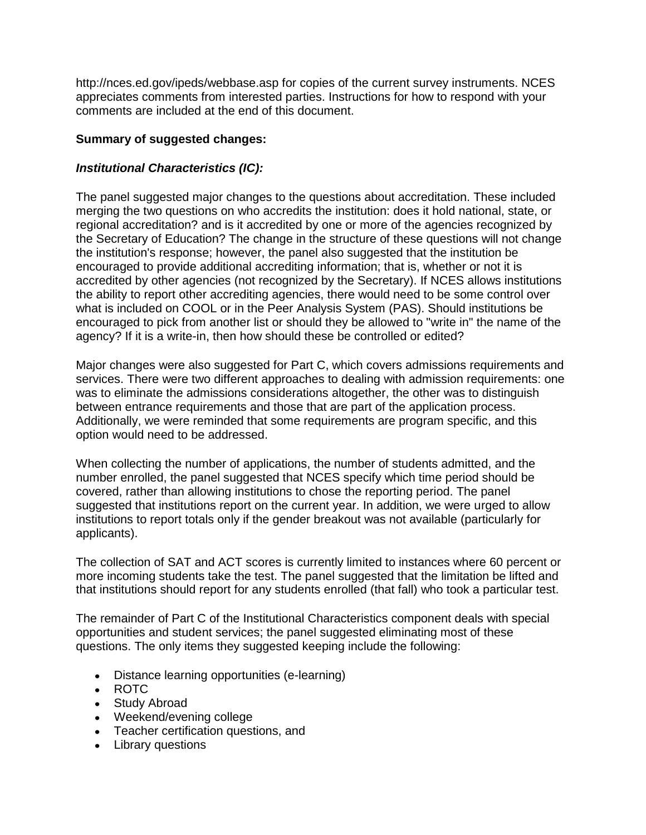http://nces.ed.gov/ipeds/webbase.asp for copies of the current survey instruments. NCES appreciates comments from interested parties. Instructions for how to respond with your comments are included at the end of this document.

# **Summary of suggested changes:**

# *Institutional Characteristics (IC):*

The panel suggested major changes to the questions about accreditation. These included merging the two questions on who accredits the institution: does it hold national, state, or regional accreditation? and is it accredited by one or more of the agencies recognized by the Secretary of Education? The change in the structure of these questions will not change the institution's response; however, the panel also suggested that the institution be encouraged to provide additional accrediting information; that is, whether or not it is accredited by other agencies (not recognized by the Secretary). If NCES allows institutions the ability to report other accrediting agencies, there would need to be some control over what is included on COOL or in the Peer Analysis System (PAS). Should institutions be encouraged to pick from another list or should they be allowed to "write in" the name of the agency? If it is a write-in, then how should these be controlled or edited?

Major changes were also suggested for Part C, which covers admissions requirements and services. There were two different approaches to dealing with admission requirements: one was to eliminate the admissions considerations altogether, the other was to distinguish between entrance requirements and those that are part of the application process. Additionally, we were reminded that some requirements are program specific, and this option would need to be addressed.

When collecting the number of applications, the number of students admitted, and the number enrolled, the panel suggested that NCES specify which time period should be covered, rather than allowing institutions to chose the reporting period. The panel suggested that institutions report on the current year. In addition, we were urged to allow institutions to report totals only if the gender breakout was not available (particularly for applicants).

The collection of SAT and ACT scores is currently limited to instances where 60 percent or more incoming students take the test. The panel suggested that the limitation be lifted and that institutions should report for any students enrolled (that fall) who took a particular test.

The remainder of Part C of the Institutional Characteristics component deals with special opportunities and student services; the panel suggested eliminating most of these questions. The only items they suggested keeping include the following:

- Distance learning opportunities (e-learning)
- ROTC
- Study Abroad
- Weekend/evening college
- Teacher certification questions, and
- Library questions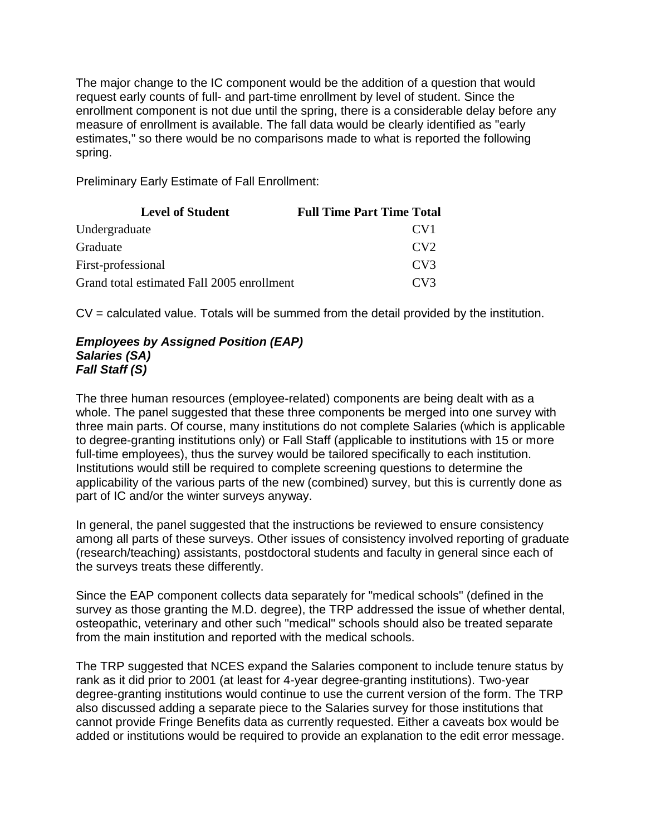The major change to the IC component would be the addition of a question that would request early counts of full- and part-time enrollment by level of student. Since the enrollment component is not due until the spring, there is a considerable delay before any measure of enrollment is available. The fall data would be clearly identified as "early estimates," so there would be no comparisons made to what is reported the following spring.

Preliminary Early Estimate of Fall Enrollment:

| <b>Level of Student</b>                    | <b>Full Time Part Time Total</b> |
|--------------------------------------------|----------------------------------|
| Undergraduate                              | CV <sub>1</sub>                  |
| Graduate                                   | CV2                              |
| First-professional                         | CV3                              |
| Grand total estimated Fall 2005 enrollment | CV3                              |

CV = calculated value. Totals will be summed from the detail provided by the institution.

### *Employees by Assigned Position (EAP) Salaries (SA) Fall Staff (S)*

The three human resources (employee-related) components are being dealt with as a whole. The panel suggested that these three components be merged into one survey with three main parts. Of course, many institutions do not complete Salaries (which is applicable to degree-granting institutions only) or Fall Staff (applicable to institutions with 15 or more full-time employees), thus the survey would be tailored specifically to each institution. Institutions would still be required to complete screening questions to determine the applicability of the various parts of the new (combined) survey, but this is currently done as part of IC and/or the winter surveys anyway.

In general, the panel suggested that the instructions be reviewed to ensure consistency among all parts of these surveys. Other issues of consistency involved reporting of graduate (research/teaching) assistants, postdoctoral students and faculty in general since each of the surveys treats these differently.

Since the EAP component collects data separately for "medical schools" (defined in the survey as those granting the M.D. degree), the TRP addressed the issue of whether dental, osteopathic, veterinary and other such "medical" schools should also be treated separate from the main institution and reported with the medical schools.

The TRP suggested that NCES expand the Salaries component to include tenure status by rank as it did prior to 2001 (at least for 4-year degree-granting institutions). Two-year degree-granting institutions would continue to use the current version of the form. The TRP also discussed adding a separate piece to the Salaries survey for those institutions that cannot provide Fringe Benefits data as currently requested. Either a caveats box would be added or institutions would be required to provide an explanation to the edit error message.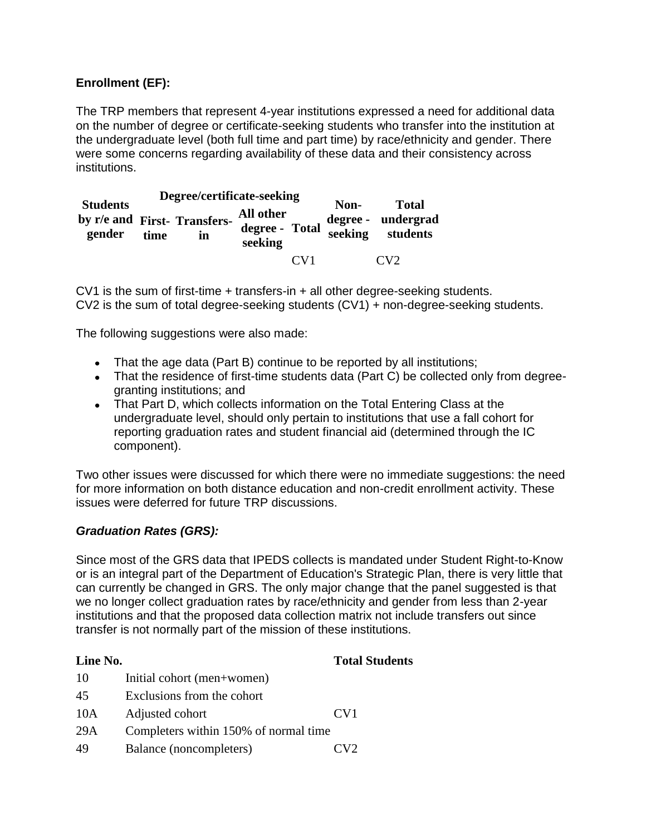# **Enrollment (EF):**

The TRP members that represent 4-year institutions expressed a need for additional data on the number of degree or certificate-seeking students who transfer into the institution at the undergraduate level (both full time and part time) by race/ethnicity and gender. There were some concerns regarding availability of these data and their consistency across institutions.

| <b>Students</b><br>gender | time | Degree/certificate-seeking<br>by r/e and First- Transfers-<br>in | All other<br>degree - Total<br>seeking |                         | Non-<br>seeking | <b>Total</b><br>degree - undergrad<br>students |
|---------------------------|------|------------------------------------------------------------------|----------------------------------------|-------------------------|-----------------|------------------------------------------------|
|                           |      |                                                                  |                                        | $\alpha$ V <sub>1</sub> |                 | $\alpha v$                                     |

CV1 is the sum of first-time + transfers-in + all other degree-seeking students. CV2 is the sum of total degree-seeking students (CV1) + non-degree-seeking students.

The following suggestions were also made:

- That the age data (Part B) continue to be reported by all institutions;
- That the residence of first-time students data (Part C) be collected only from degreegranting institutions; and
- That Part D, which collects information on the Total Entering Class at the undergraduate level, should only pertain to institutions that use a fall cohort for reporting graduation rates and student financial aid (determined through the IC component).

Two other issues were discussed for which there were no immediate suggestions: the need for more information on both distance education and non-credit enrollment activity. These issues were deferred for future TRP discussions.

### *Graduation Rates (GRS):*

Since most of the GRS data that IPEDS collects is mandated under Student Right-to-Know or is an integral part of the Department of Education's Strategic Plan, there is very little that can currently be changed in GRS. The only major change that the panel suggested is that we no longer collect graduation rates by race/ethnicity and gender from less than 2-year institutions and that the proposed data collection matrix not include transfers out since transfer is not normally part of the mission of these institutions.

### **Line No. Total Students**

10 Initial cohort (men+women) 45 Exclusions from the cohort 10A Adjusted cohort CV1 29A Completers within 150% of normal time 49 Balance (noncompleters) CV2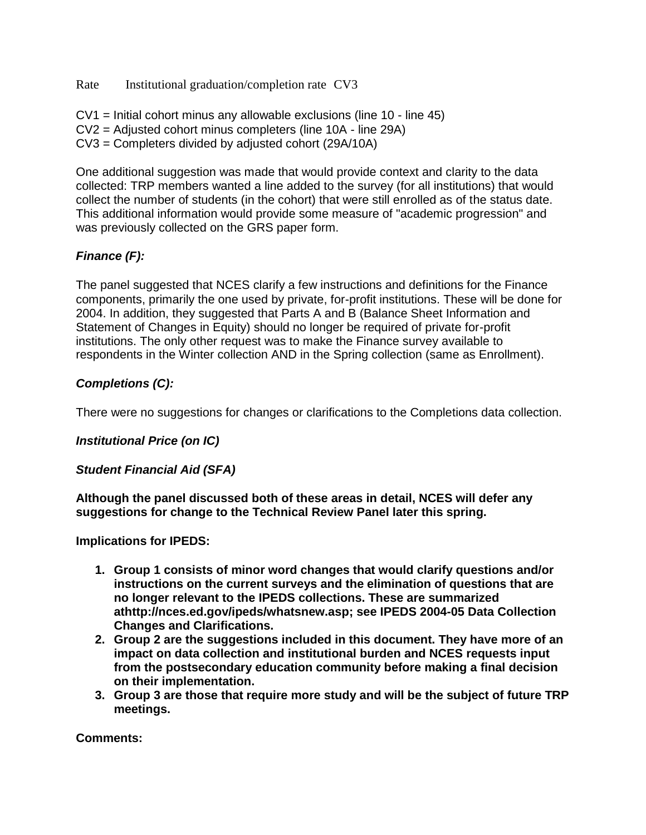Rate Institutional graduation/completion rate CV3

CV1 = Initial cohort minus any allowable exclusions (line 10 - line 45) CV2 = Adjusted cohort minus completers (line 10A - line 29A) CV3 = Completers divided by adjusted cohort (29A/10A)

One additional suggestion was made that would provide context and clarity to the data collected: TRP members wanted a line added to the survey (for all institutions) that would collect the number of students (in the cohort) that were still enrolled as of the status date. This additional information would provide some measure of "academic progression" and was previously collected on the GRS paper form.

# *Finance (F):*

The panel suggested that NCES clarify a few instructions and definitions for the Finance components, primarily the one used by private, for-profit institutions. These will be done for 2004. In addition, they suggested that Parts A and B (Balance Sheet Information and Statement of Changes in Equity) should no longer be required of private for-profit institutions. The only other request was to make the Finance survey available to respondents in the Winter collection AND in the Spring collection (same as Enrollment).

# *Completions (C):*

There were no suggestions for changes or clarifications to the Completions data collection.

### *Institutional Price (on IC)*

### *Student Financial Aid (SFA)*

**Although the panel discussed both of these areas in detail, NCES will defer any suggestions for change to the Technical Review Panel later this spring.**

### **Implications for IPEDS:**

- **1. Group 1 consists of minor word changes that would clarify questions and/or instructions on the current surveys and the elimination of questions that are no longer relevant to the IPEDS collections. These are summarized athttp://nces.ed.gov/ipeds/whatsnew.asp; see IPEDS 2004-05 Data Collection Changes and Clarifications.**
- **2. Group 2 are the suggestions included in this document. They have more of an impact on data collection and institutional burden and NCES requests input from the postsecondary education community before making a final decision on their implementation.**
- **3. Group 3 are those that require more study and will be the subject of future TRP meetings.**

**Comments:**